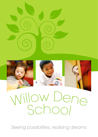

Seeing possibilities, realising dreams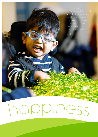I do. I do literacy, maths, science, art and many more. I like literacy best because you can create stories'

Pupil

# happines<sup>s</sup>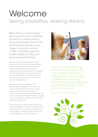## Welcome Seeing possibilities, realising dreams

Willow Dene is a values-based learning community completely focused on building provision around the needs of each child and their family. We are a very happy community and aim to offer our families support to enable children to thrive and enjoy living and learning.

We are the only primary special school in Greenwich and meet the needs of children with a wide range of special educational needs. Our teachers are exceptional practitioners who work as part of an extensive multi-disciplinary team of specialists to plan learning pathways that ensure children are given the best opportunities to thrive and become independent.

We are a school of enablement. Our environment is designed to stimulate and support children to build on their curiosity about the world around them and to communicate their thoughts and feelings. We work in close partnership with families, providing care and support to enable everyone to feel confident and secure.

As a school, we are always learning. We are actively engaged in research-led improvement, which ensures our provision is innovative and cutting edge; providing children with the very best possibilities to realise their dreams.



'The stimulating learning environment supports the high quality of learning taking place, encourages independent learning, enriches pupils' experiences and demonstrates pupils' pride in their work'

Improvement Partner Report

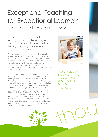# Exceptional Teaching for Exceptional Learners

Personalised learning pathways

Our aim is to provide personalised learning pathways of the very highest standard for every child, to ensure that they enjoy learning, make excellent progress and achieve.

Central to our vision is the understanding that exceptional learners need exceptional teachers. Our goal is that all children are enabled to be active learners who are curious and given opportunities to take risks and explore their ideas. The ability to channel that curiosity and exploration into effective learning is a key role of our teaching staff, through providing carefully planned and structured contexts to meet children's needs.

Our curriculum balances meeting individual needs with ensuring all children access broad, balanced and rich learning experiences. At the centre of the provision Willow Dene offers is a focus on independence and the skills that enable children to exercise greater autonomy and choice. This is underpinned by four 'Essential Strands' for life and learning, which are integral to the whole curriculum and school day. These consist of Communication, Learning Skills, Social Skills and Self-Care Skills. The Core Areas of our curriculum include Literacy, Numeracy and Problem Solving, Physical Development and Wellbeing, and ICT. We balance this with the Enrichment Areas of the curriculum, including Art and Music; Science and Technology; Play and Leisure; and Time, Place, People and Culture. These are taught through a topic-based approach.



the school, there are examples of outstanding practice'

Ofsted Report



'In every area of<br>the school, there<br>are examples<br>of outstanding<br>practice'<br>Ofsted Report<br> $\xi$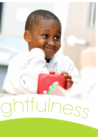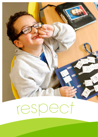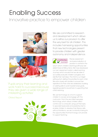#### Enabling Success Innovative practice to empower children





'Pupils enjoy their learning and work hard to succeed because they are given a wide range of interesting activities'

Ofsted Report



We are committed to research and development which allows us to refine our provision to offer the very best for all children. This includes harnessing opportunities that new technologies present to provide children with greater autonomy and independence.



Precise assessment and personalisation of provision is central to the

way in which children's learning pathways are determined at Willow Dene. We have developed our own assessment system called Learning Journeys which ensures that we are able to accurately evaluate children's progress and identify their next steps. This informs our target setting which defines the priorities for each child. We work closely with families to ensure their aspirations for their child are addressed, building on existing skills to work towards future goals, regarding parents as partners in supporting their child's learning.

We use technology as a tool to support children to access and engage with the curriculum. From the very latest eye-gaze technology, which allows children direct control over a computer using just their eyes, to specialist keyboards and predictive text to enable children to develop their literacy skills without limitations, we are constantly looking for the opportunities that technology can provide to support learning.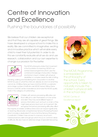### Centre of Innovation and Excellence

Pushing the boundaries of possibility

We believe that our children are exceptional and that they are all capable of great things. We have developed a unique school to make this a reality. We are committed to imaginative, exciting and innovative practice which will enable every child to meet their full potential. In order to do this we constantly evaluate what we do and use research, collaboration and our own expertise to change our provision for the better.



The MOVE philosophy states that movement is the foundation for learning. MOVE is an activity based programme which uses the combined knowledge of education, therapy and family to teach children with physical disabilities or complex needs the skills of sitting,

standing, walking and transferring from one position to another. MOVE focuses on what the child can already do and not what they cannot do. At Willow Dene we have a full time MOVE co-ordinator and a large number of staff who are MOVE trained. Willow Dene School is a MOVE centre of excellence and holds the MOVE quality mark in the category of outstanding.



Children with sensory processing difficulties can find it difficult to calm themselves or to be active and alert. They may avoid different types of sensory information such as touch or smell, or they might seek sensory input such as movement. We recognise that sensory processing difficulties affect

the majority of children at Willow Dene and can impact significantly on learning. We provide comprehensive Sensory Processing Provision which includes a dedicated OT and a full time Sensory Processing Coordinator. Children have access to a sensory circuit room, individual sensory diets and groups which focus on common areas of difficulty. We also have an extensive range of specialist resourcing.



'The MOVE Programme is embedded in the philosophy of the school. Every opportunity is taken to naturally include the children's physical skills in the school day'

MOVE Centre of Excellence report

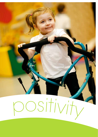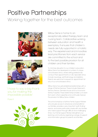#### Positive Partnerships Working together for the best outcomes





'I have to say a big thank you for making the impossible possible'

Parent



Willow Dene is home to an exceptionally skilled therapy team and nursing team. Collaborative working between education and health is exemplary. It ensures that children's needs are fully supported in a holistic way. The experienced and innovative lead practitioners from each service are committed to the school and to the best possible provision for all children and their families.

To minimise disruption to our children's education, Willow Dene has developed a number of unique school-based clinics, where visiting professionals conduct their appointments on site. Specialist clinics include neurology, ophthalmology and dietetics. Parents are welcome to request an appointment at any of our school-based clinics.

Willow Dene has well established relationships with a range of Partner Services. These include Greenwich Sensory Service, Demelza House and our local and tertiary hospitals. These relationships enable us to learn from each other's expertise and continually improve the provision for Willow Dene children.

The school employs a full-time Family Support Worker who ensures access to all services and benefits for our families, provides a very important 'path finding' service, and works particularly closely with any families who need support through difficult and challenging times. Our Family Support Worker strengthens our learning community by organising a range of support and information groups for parents and families.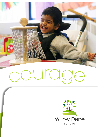

![](_page_10_Picture_1.jpeg)